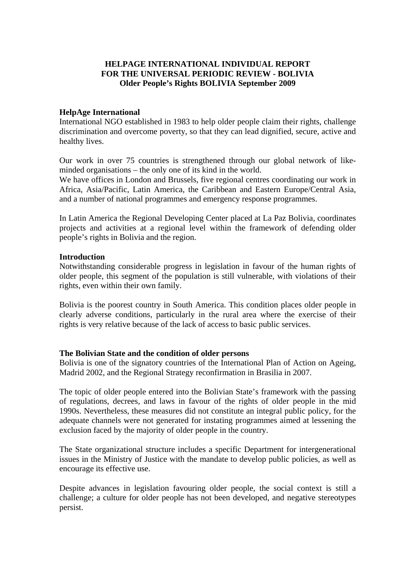# **HELPAGE INTERNATIONAL INDIVIDUAL REPORT FOR THE UNIVERSAL PERIODIC REVIEW - BOLIVIA Older People's Rights BOLIVIA September 2009**

#### **HelpAge International**

International NGO established in 1983 to help older people claim their rights, challenge discrimination and overcome poverty, so that they can lead dignified, secure, active and healthy lives.

Our work in over 75 countries is strengthened through our global network of likeminded organisations – the only one of its kind in the world.

We have offices in London and Brussels, five regional centres coordinating our work in Africa, Asia/Pacific, Latin America, the Caribbean and Eastern Europe/Central Asia, and a number of national programmes and emergency response programmes.

In Latin America the Regional Developing Center placed at La Paz Bolivia, coordinates projects and activities at a regional level within the framework of defending older people's rights in Bolivia and the region.

#### **Introduction**

Notwithstanding considerable progress in legislation in favour of the human rights of older people, this segment of the population is still vulnerable, with violations of their rights, even within their own family.

Bolivia is the poorest country in South America. This condition places older people in clearly adverse conditions, particularly in the rural area where the exercise of their rights is very relative because of the lack of access to basic public services.

### **The Bolivian State and the condition of older persons**

Bolivia is one of the signatory countries of the International Plan of Action on Ageing, Madrid 2002, and the Regional Strategy reconfirmation in Brasilia in 2007.

The topic of older people entered into the Bolivian State's framework with the passing of regulations, decrees, and laws in favour of the rights of older people in the mid 1990s. Nevertheless, these measures did not constitute an integral public policy, for the adequate channels were not generated for instating programmes aimed at lessening the exclusion faced by the majority of older people in the country.

The State organizational structure includes a specific Department for intergenerational issues in the Ministry of Justice with the mandate to develop public policies, as well as encourage its effective use.

Despite advances in legislation favouring older people, the social context is still a challenge; a culture for older people has not been developed, and negative stereotypes persist.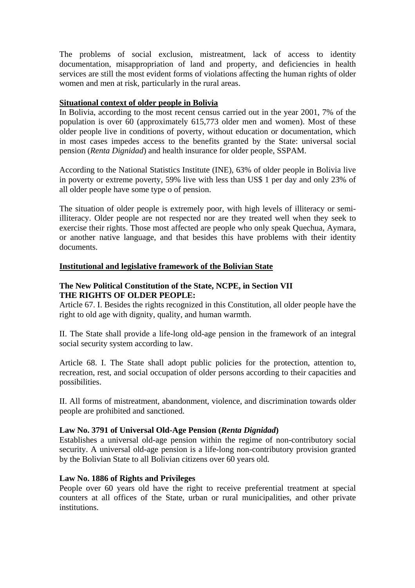The problems of social exclusion, mistreatment, lack of access to identity documentation, misappropriation of land and property, and deficiencies in health services are still the most evident forms of violations affecting the human rights of older women and men at risk, particularly in the rural areas.

## **Situational context of older people in Bolivia**

In Bolivia, according to the most recent census carried out in the year 2001, 7% of the population is over 60 (approximately 615,773 older men and women). Most of these older people live in conditions of poverty, without education or documentation, which in most cases impedes access to the benefits granted by the State: universal social pension (*Renta Dignidad*) and health insurance for older people, SSPAM.

According to the National Statistics Institute (INE), 63% of older people in Bolivia live in poverty or extreme poverty, 59% live with less than US\$ 1 per day and only 23% of all older people have some type o of pension.

The situation of older people is extremely poor, with high levels of illiteracy or semiilliteracy. Older people are not respected nor are they treated well when they seek to exercise their rights. Those most affected are people who only speak Quechua, Aymara, or another native language, and that besides this have problems with their identity documents.

## **Institutional and legislative framework of the Bolivian State**

## **The New Political Constitution of the State, NCPE, in Section VII THE RIGHTS OF OLDER PEOPLE:**

Article 67. I. Besides the rights recognized in this Constitution, all older people have the right to old age with dignity, quality, and human warmth.

II. The State shall provide a life-long old-age pension in the framework of an integral social security system according to law.

Article 68. I. The State shall adopt public policies for the protection, attention to, recreation, rest, and social occupation of older persons according to their capacities and possibilities.

II. All forms of mistreatment, abandonment, violence, and discrimination towards older people are prohibited and sanctioned.

# **Law No. 3791 of Universal Old-Age Pension (***Renta Dignidad***)**

Establishes a universal old-age pension within the regime of non-contributory social security. A universal old-age pension is a life-long non-contributory provision granted by the Bolivian State to all Bolivian citizens over 60 years old.

### **Law No. 1886 of Rights and Privileges**

People over 60 years old have the right to receive preferential treatment at special counters at all offices of the State, urban or rural municipalities, and other private institutions.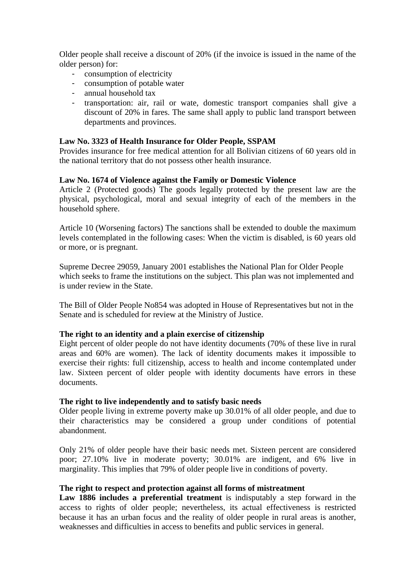Older people shall receive a discount of 20% (if the invoice is issued in the name of the older person) for:

- consumption of electricity
- consumption of potable water
- annual household tax
- transportation: air, rail or wate, domestic transport companies shall give a discount of 20% in fares. The same shall apply to public land transport between departments and provinces.

### **Law No. 3323 of Health Insurance for Older People, SSPAM**

Provides insurance for free medical attention for all Bolivian citizens of 60 years old in the national territory that do not possess other health insurance.

### **Law No. 1674 of Violence against the Family or Domestic Violence**

Article 2 (Protected goods) The goods legally protected by the present law are the physical, psychological, moral and sexual integrity of each of the members in the household sphere.

Article 10 (Worsening factors) The sanctions shall be extended to double the maximum levels contemplated in the following cases: When the victim is disabled, is 60 years old or more, or is pregnant.

Supreme Decree 29059, January 2001 establishes the National Plan for Older People which seeks to frame the institutions on the subject. This plan was not implemented and is under review in the State.

The Bill of Older People No854 was adopted in House of Representatives but not in the Senate and is scheduled for review at the Ministry of Justice.

### **The right to an identity and a plain exercise of citizenship**

Eight percent of older people do not have identity documents (70% of these live in rural areas and 60% are women). The lack of identity documents makes it impossible to exercise their rights: full citizenship, access to health and income contemplated under law. Sixteen percent of older people with identity documents have errors in these documents.

### **The right to live independently and to satisfy basic needs**

Older people living in extreme poverty make up 30.01% of all older people, and due to their characteristics may be considered a group under conditions of potential abandonment.

Only 21% of older people have their basic needs met. Sixteen percent are considered poor; 27.10% live in moderate poverty; 30.01% are indigent, and 6% live in marginality. This implies that 79% of older people live in conditions of poverty.

### **The right to respect and protection against all forms of mistreatment**

**Law 1886 includes a preferential treatment** is indisputably a step forward in the access to rights of older people; nevertheless, its actual effectiveness is restricted because it has an urban focus and the reality of older people in rural areas is another, weaknesses and difficulties in access to benefits and public services in general.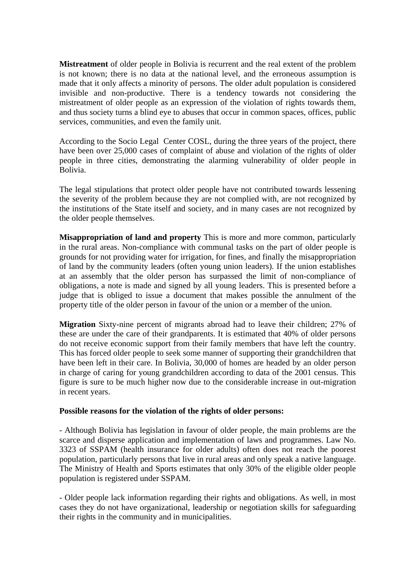**Mistreatment** of older people in Bolivia is recurrent and the real extent of the problem is not known; there is no data at the national level, and the erroneous assumption is made that it only affects a minority of persons. The older adult population is considered invisible and non-productive. There is a tendency towards not considering the mistreatment of older people as an expression of the violation of rights towards them, and thus society turns a blind eye to abuses that occur in common spaces, offices, public services, communities, and even the family unit.

According to the Socio Legal Center COSL, during the three years of the project, there have been over 25,000 cases of complaint of abuse and violation of the rights of older people in three cities, demonstrating the alarming vulnerability of older people in Bolivia.

The legal stipulations that protect older people have not contributed towards lessening the severity of the problem because they are not complied with, are not recognized by the institutions of the State itself and society, and in many cases are not recognized by the older people themselves.

**Misappropriation of land and property** This is more and more common, particularly in the rural areas. Non-compliance with communal tasks on the part of older people is grounds for not providing water for irrigation, for fines, and finally the misappropriation of land by the community leaders (often young union leaders). If the union establishes at an assembly that the older person has surpassed the limit of non-compliance of obligations, a note is made and signed by all young leaders. This is presented before a judge that is obliged to issue a document that makes possible the annulment of the property title of the older person in favour of the union or a member of the union.

**Migration** Sixty-nine percent of migrants abroad had to leave their children; 27% of these are under the care of their grandparents. It is estimated that 40% of older persons do not receive economic support from their family members that have left the country. This has forced older people to seek some manner of supporting their grandchildren that have been left in their care. In Bolivia, 30,000 of homes are headed by an older person in charge of caring for young grandchildren according to data of the 2001 census. This figure is sure to be much higher now due to the considerable increase in out-migration in recent years.

### **Possible reasons for the violation of the rights of older persons:**

- Although Bolivia has legislation in favour of older people, the main problems are the scarce and disperse application and implementation of laws and programmes. Law No. 3323 of SSPAM (health insurance for older adults) often does not reach the poorest population, particularly persons that live in rural areas and only speak a native language. The Ministry of Health and Sports estimates that only 30% of the eligible older people population is registered under SSPAM.

- Older people lack information regarding their rights and obligations. As well, in most cases they do not have organizational, leadership or negotiation skills for safeguarding their rights in the community and in municipalities.